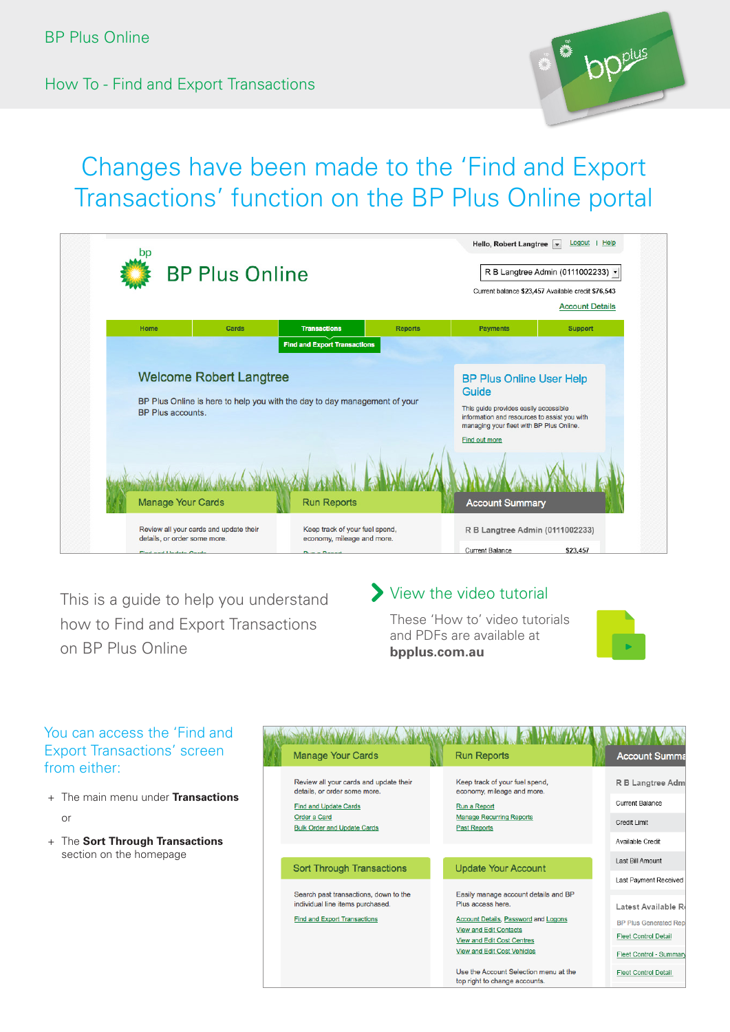How To - Find and Export Transactions

#### Changog hayo hoon mai Changes have been made to the 'Find and Export I transactions i flinction on Transactions' function on the BP Plus Online portal



This is a guide to help you understand accordance with their privacy policies, which may differ from ours and how to Find and Export Transactions on BP Plus Online

# View the video tutorial

These 'How to' video tutorials and PDFs are available at **<bpplus.com.au>**



### You can access the 'Find and Export Transactions' screen from either:

- + The main menu under **Transactions** or
- + The **Sort Through Transactions** section on the homepage

| <b>Manage Your Cards</b>                                                                                                                                     | <b>Run Reports</b>                                                                                                                                                                                                   | <b>Account Summa</b>                                                                                           |
|--------------------------------------------------------------------------------------------------------------------------------------------------------------|----------------------------------------------------------------------------------------------------------------------------------------------------------------------------------------------------------------------|----------------------------------------------------------------------------------------------------------------|
| Review all your cards and update their<br>details, or order some more.<br><b>Find and Update Cards</b><br>Order a Card<br><b>Bulk Order and Update Cards</b> | Keep track of your fuel spend,<br>economy, mileage and more.<br>Run a Report<br><b>Manage Recurring Reports</b><br><b>Past Reports</b>                                                                               | R B Langtree Adm<br>Current Balance<br>Credit Limit                                                            |
|                                                                                                                                                              |                                                                                                                                                                                                                      | Available Credit                                                                                               |
| <b>Sort Through Transactions</b>                                                                                                                             | <b>Update Your Account</b>                                                                                                                                                                                           | Last Bill Amount<br>Last Payment Received                                                                      |
| Search past transactions, down to the<br>individual line items purchased.<br><b>Find and Export Transactions</b>                                             | Easily manage account details and BP<br>Plus access here.<br><b>Account Details, Password and Logons</b><br><b>View and Edit Contacts</b><br><b>View and Edit Cost Centres</b><br><b>View and Edit Cost Vehicles</b> | Latest Available Re<br><b>BP Plus Generated Repl</b><br><b>Fleet Control Detail</b><br>Fleet Control - Summary |
|                                                                                                                                                              | Use the Account Selection menu at the<br>top right to change accounts.                                                                                                                                               | <b>Fleet Control Detail</b>                                                                                    |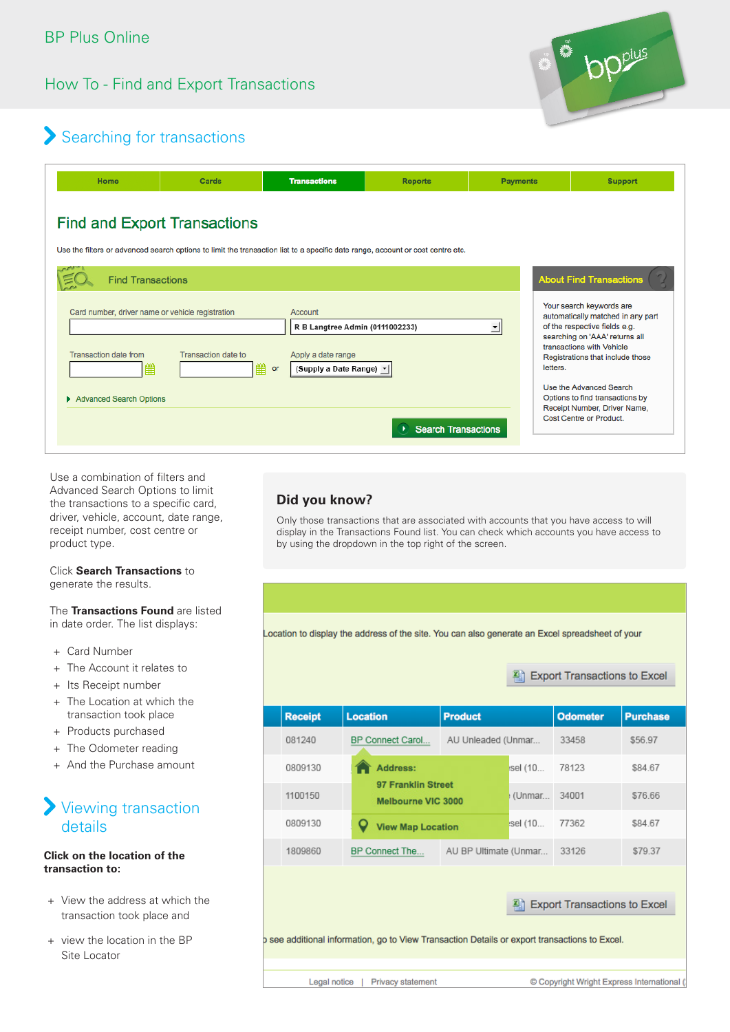How To - Find and Export Transactions

30 working days and outline BP's response to the complaint or request



# Searching for transactions

| Home                                                                                                                                                                  | Cards                    | <b>Transactions</b>                                                                               | <b>Reports</b> | <b>Payments</b> |          | <b>Support</b>                                                                                                                                                                                                                                                                                  |
|-----------------------------------------------------------------------------------------------------------------------------------------------------------------------|--------------------------|---------------------------------------------------------------------------------------------------|----------------|-----------------|----------|-------------------------------------------------------------------------------------------------------------------------------------------------------------------------------------------------------------------------------------------------------------------------------------------------|
| <b>Find and Export Transactions</b><br>Use the filters or advanced search options to limit the transaction list to a specific date range, account or cost centre etc. |                          |                                                                                                   |                |                 |          |                                                                                                                                                                                                                                                                                                 |
| <b>Find Transactions</b>                                                                                                                                              |                          |                                                                                                   |                |                 |          | <b>About Find Transactions</b>                                                                                                                                                                                                                                                                  |
| Card number, driver name or vehicle registration<br>Transaction date from<br>雦<br>Advanced Search Options                                                             | Transaction date to<br>雦 | Account<br>R B Langtree Admin (0111002233)<br>Apply a date range<br>(Supply a Date Range) v<br>or |                | ᅬ               | letters. | Your search keywords are<br>automatically matched in any part<br>of the respective fields e.g.<br>searching on 'AAA' returns all<br>transactions with Vehicle<br>Registrations that include those<br>Use the Advanced Search<br>Options to find transactions by<br>Receipt Number, Driver Name, |

Use a combination of filters and  $\sim$ the transactions to a specific card, **Did you kn** driver, vehicle, account, date range, receipt number, cost centre or Advanced Search Options to limit product type.

#### **Click Search Transactions** to **control and are not covered by the notations**  $\mathbf{r}$ generate the results. The operators provided in the operators provided, the operators of the operators of the

sites may collect information from you which will be used by them in

#### The **Transactions Found** are listed **The Transactions Found** are listed in date order. The list displays:

- + Card Number
	- + The Account it relates to
	- + Its Receipt number
	- + The Location at which the transaction took place
	- + Products purchased
	- + The Odometer reading
	- + And the Purchase amount

# Viewing transaction details

#### **Click on the location of the transaction to:**

- + View the address at which the transaction took place and
- + view the location in the BP Site Locator

#### **Did you know?**

Only those transactions that are associated with accounts that you have access to will display in the Transactions Found list. You can check which accounts you have access to by using the dropdown in the top right of the screen.

|                                 |                                                                                               |                          |         | 2) Export Transactions to Excel |                 |
|---------------------------------|-----------------------------------------------------------------------------------------------|--------------------------|---------|---------------------------------|-----------------|
| <b>Receipt</b>                  | <b>Location</b>                                                                               | <b>Product</b>           |         | <b>Odometer</b>                 | <b>Purchase</b> |
| 081240                          | BP Connect Carol                                                                              | AU Unleaded (Unmar       |         | 33458                           | \$56.97         |
| 0809130                         | Address:                                                                                      |                          | sel (10 | 78123                           | \$84.67         |
| 1100150                         | 97 Franklin Street<br>Melbourne VIC 3000                                                      |                          | (Unmar  | 34001                           | \$76.66         |
| 0809130                         |                                                                                               | <b>View Map Location</b> |         | 77362                           | \$84.67         |
| 1809860                         | BP Connect The                                                                                | AU BP Ultimate (Unmar    |         | 33126                           | \$79.37         |
|                                 |                                                                                               |                          |         |                                 |                 |
| 2) Export Transactions to Excel |                                                                                               |                          |         |                                 |                 |
|                                 | b see additional information, go to View Transaction Details or export transactions to Excel. |                          |         |                                 |                 |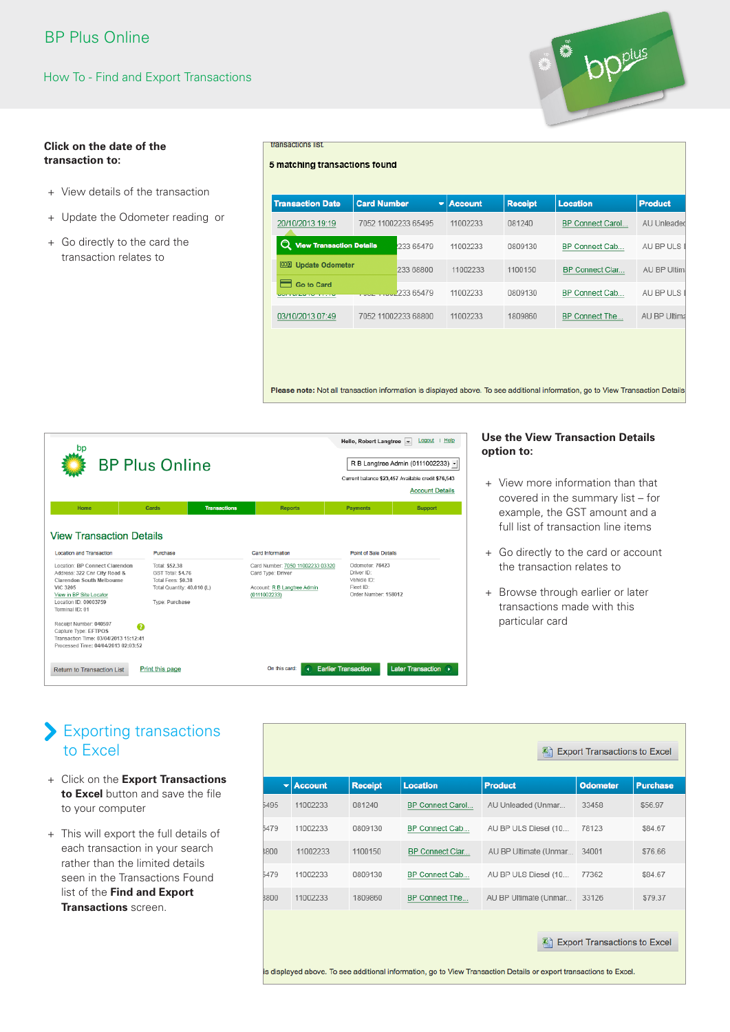## BP Plus Online

### BP Plus Application How To - Find and Export Transactions

#### **Click on the date of the set of the set of the set of the set of the set of the set of the set of the set of the set of the set of the set of the set of the set of the set of the set of the set of the set of the set of th transaction to:**

- + View details of the transaction
- + Update the Odometer reading or
- + Go directly to the card the transaction relates to

5 matching transactions found  $\blacktriangleright$  Account Location **Product Receipt** 7052 11002233 65495 11002233 081240 BP Connect Carol... AU Unleade submitting the complaint to the Privacy Commissioner for review. The Privacy Commissioner for review. The Privacy Commissioner for review. The Privacy Commissioner for review. The Privacy Commissioner for review. The Priva Q View Transaction Details 233 65479 11002233 0809130 BP Connect Cab... **ALL RP ULS** 233 68800 11002233 1100150 AU BP Ultim BP Connect Clar.  $\frac{1}{\sqrt{2}}$  there are any  $\frac{1}{\sqrt{2}}$  the BP  $\frac{1}{\sqrt{2}}$  or the way  $\frac{1}{\sqrt{2}}$  $\Box$  Go to Card 233 65479 11002233 0809130 BP Connect Cab.. AU BP ULS about BP's treatment of Personal Information, then BP should be 03/10/2013 07:49 7052 11002233 68800 11002233 1809860 BP Connect The... AU BP Ultima Please note: Not all transaction information is displayed above. To see additional information, go to View Transaction Details



#### **Use the View Transaction Details option to:**

- + View more information than that covered in the summary list – for example, the GST amount and a full list of transaction line items
- + Go directly to the card or account the transaction relates to
- + Browse through earlier or later transactions made with this particular card

# Exporting transactions to Excel

- + Click on the **Export Transactions to Excel** button and save the file to your computer
- + This will export the full details of each transaction in your search rather than the limited details seen in the Transactions Found list of the **Find and Export Transactions** screen.

|                                                                                                                    |                |                |                        | ¥Л                    | <b>Export Transactions to Excel</b> |                 |
|--------------------------------------------------------------------------------------------------------------------|----------------|----------------|------------------------|-----------------------|-------------------------------------|-----------------|
| ٠                                                                                                                  | <b>Account</b> | <b>Receipt</b> | <b>Location</b>        | <b>Product</b>        | <b>Odometer</b>                     | <b>Purchase</b> |
| 5495                                                                                                               | 11002233       | 081240         | BP Connect Carol       | AU Unleaded (Unmar    | 33458                               | \$56.97         |
| 5479                                                                                                               | 11002233       | 0809130        | BP Connect Cab         | AU BP ULS Diesel (10  | 78123                               | \$84.67         |
| 3800                                                                                                               | 11002233       | 1100150        | <b>BP Connect Clar</b> | AU BP Ultimate (Unmar | 34001                               | \$76.66         |
| 5479                                                                                                               | 11002233       | 0809130        | BP Connect Cab         | AU BP ULS Diesel (10  | 77362                               | \$84.67         |
| <b>B800</b>                                                                                                        | 11002233       | 1809860        | BP Connect The         | AU BP Ultimate (Unmar | 33126                               | \$79.37         |
|                                                                                                                    |                |                |                        |                       |                                     |                 |
| <b>Export Transactions to Excel</b><br>¥Л                                                                          |                |                |                        |                       |                                     |                 |
| is displayed above. To see additional information, go to View Transaction Details or export transactions to Excel. |                |                |                        |                       |                                     |                 |

BP Plus Privacy Policy 8.2 (2001) 2.2 (2002) 2.2 (2002) 2.2 (2002) 2.2 (2002) 2.2 (2002) 2.2 (2002) 2.2 (2002)<br>Privacy Policy Research Privacy Policy Research Privacy Policy Privacy Policy Policy Policy Privacy Policy Pol